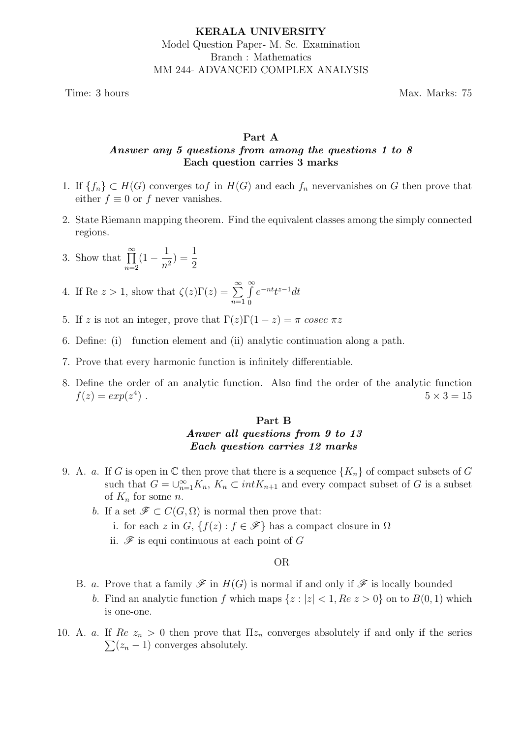Time: 3 hours Max. Marks: 75

# Part A Answer any 5 questions from among the questions 1 to 8 Each question carries 3 marks

- 1. If  ${f_n} \subset H(G)$  converges to f in  $H(G)$  and each  $f_n$  nevervanishes on G then prove that either  $f \equiv 0$  or f never vanishes.
- 2. State Riemann mapping theorem. Find the equivalent classes among the simply connected regions.
- 3. Show that  $\prod^{\infty}$  $n=2$  $(1 - \frac{1}{\cdot})$  $n<sup>2</sup>$  $) = \frac{1}{2}$ 2
- 4. If Re  $z > 1$ , show that  $\zeta(z)\Gamma(z) = \sum_{n=1}^{\infty} \frac{z^{n}}{n!}$  $n=1$  $\int$ 0  $e^{-nt}t^{z-1}dt$
- 5. If z is not an integer, prove that  $\Gamma(z)\Gamma(1-z) = \pi$  cosec  $\pi z$
- 6. Define: (i) function element and (ii) analytic continuation along a path.
- 7. Prove that every harmonic function is infinitely differentiable.
- 8. Define the order of an analytic function. Also find the order of the analytic function  $f(z) = exp(z^4)$  $5 \times 3 = 15$

# Part B Anwer all questions from 9 to 13 Each question carries 12 marks

- 9. A. a. If G is open in  $\mathbb C$  then prove that there is a sequence  $\{K_n\}$  of compact subsets of G such that  $G = \bigcup_{n=1}^{\infty} K_n$ ,  $K_n \subset int K_{n+1}$  and every compact subset of G is a subset of  $K_n$  for some *n*.
	- b. If a set  $\mathscr{F} \subset C(G,\Omega)$  is normal then prove that:
		- i. for each z in G,  $\{f(z) : f \in \mathscr{F}\}\$  has a compact closure in  $\Omega$
		- ii.  $\mathscr F$  is equi continuous at each point of G

### OR

- B. a. Prove that a family  $\mathscr F$  in  $H(G)$  is normal if and only if  $\mathscr F$  is locally bounded
	- b. Find an analytic function f which maps  $\{z : |z| < 1, Re\ z > 0\}$  on to  $B(0, 1)$  which is one-one.
- 10. A. a. If  $Re z_n > 0$  then prove that  $\Pi z_n$  converges absolutely if and only if the series  $\sum (z_n - 1)$  converges absolutely.